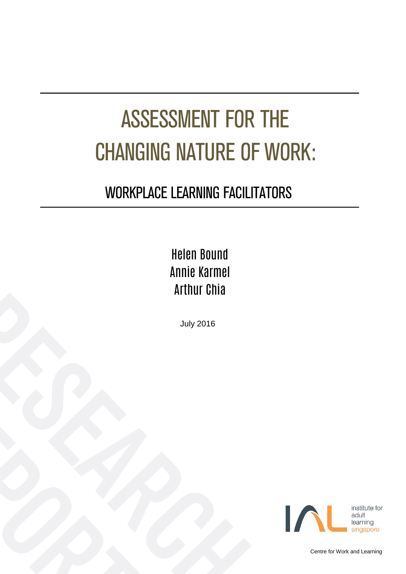# ASSESSMENT FOR THE CHANGING NATURE OF WORK:

### WORKPLACE LEARNING FACILITATORS

### Helen Bound Annie Karmel Arthur Chia

July 2016



Centre for Work and Learning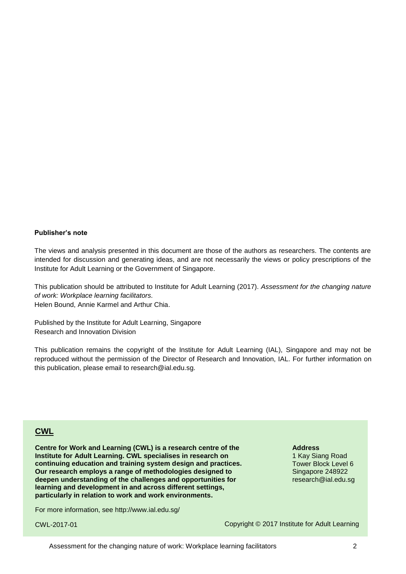#### **Publisher's note**

The views and analysis presented in this document are those of the authors as researchers. The contents are intended for discussion and generating ideas, and are not necessarily the views or policy prescriptions of the Institute for Adult Learning or the Government of Singapore.

This publication should be attributed to Institute for Adult Learning (2017). *Assessment for the changing nature of work: Workplace learning facilitators.*

Helen Bound, Annie Karmel and Arthur Chia.

Published by the Institute for Adult Learning, Singapore Research and Innovation Division

This publication remains the copyright of the Institute for Adult Learning (IAL), Singapore and may not be reproduced without the permission of the Director of Research and Innovation, IAL. For further information on this publication, please email to research@ial.edu.sg.

#### **CWL**

**Centre for Work and Learning (CWL) is a research centre of the Institute for Adult Learning. CWL specialises in research on continuing education and training system design and practices. Our research employs a range of methodologies designed to deepen understanding of the challenges and opportunities for learning and development in and across different settings, particularly in relation to work and work environments.**

For more information, see<http://www.ial.edu.sg/>

CWL-2017-01

**Address**

1 Kay Siang Road Tower Block Level 6 Singapore 248922 research@ial.edu.sg

Copyright © 2017 Institute for Adult Learning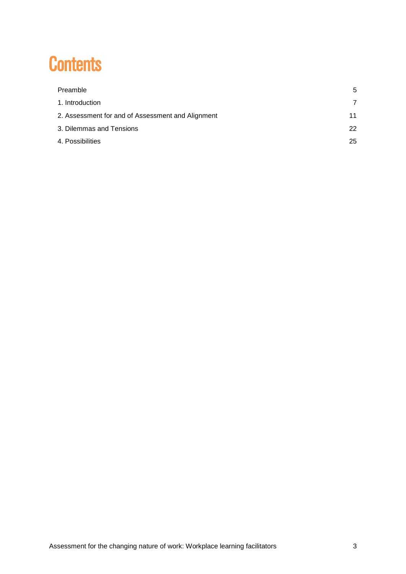### **Contents**

| Preamble                                          | 5  |
|---------------------------------------------------|----|
| 1. Introduction                                   |    |
| 2. Assessment for and of Assessment and Alignment | 11 |
| 3. Dilemmas and Tensions                          | 22 |
| 4. Possibilities                                  | 25 |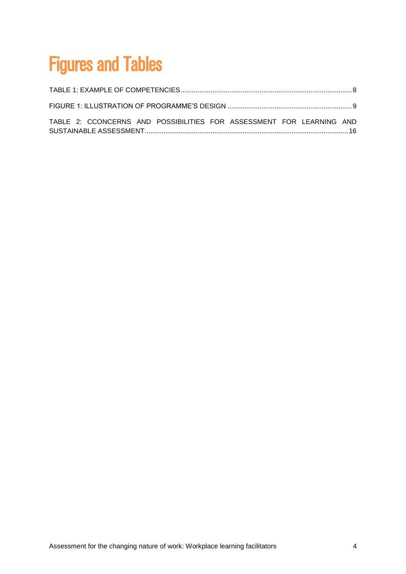## Figures and Tables

| TABLE 2: CCONCERNS AND POSSIBILITIES FOR ASSESSMENT FOR LEARNING AND |  |
|----------------------------------------------------------------------|--|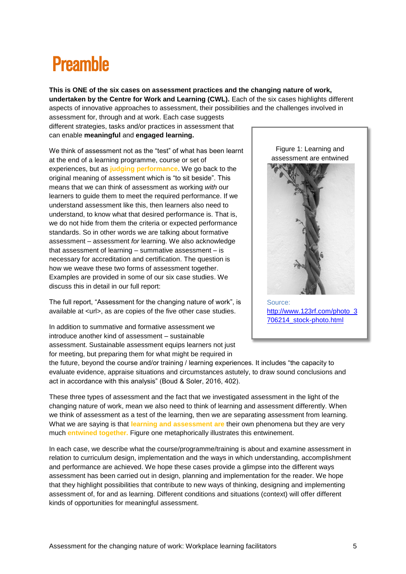### <span id="page-4-0"></span>**Preamhle**

**This is ONE of the six cases on assessment practices and the changing nature of work, undertaken by the Centre for Work and Learning (CWL).** Each of the six cases highlights different aspects of innovative approaches to assessment, their possibilities and the challenges involved in

assessment for, through and at work. Each case suggests different strategies, tasks and/or practices in assessment that can enable **meaningful** and **engaged learning.** 

We think of assessment not as the "test" of what has been learnt at the end of a learning programme, course or set of experiences, but as **judging performance**. We go back to the original meaning of assessment which is "to sit beside". This means that we can think of assessment as working *with* our learners to guide them to meet the required performance. If we understand assessment like this, then learners also need to understand, to know what that desired performance is. That is, we do not hide from them the criteria or expected performance standards. So in other words we are talking about formative assessment – assessment *for* learning. We also acknowledge that assessment of learning – summative assessment – is necessary for accreditation and certification. The question is how we weave these two forms of assessment together. Examples are provided in some of our six case studies. We discuss this in detail in our full report:

The full report, "Assessment for the changing nature of work", is available at <url>, as are copies of the five other case studies.

In addition to summative and formative assessment we introduce another kind of assessment – sustainable assessment. Sustainable assessment equips learners not just for meeting, but preparing them for what might be required in

Figure 1: Learning and assessment are entwined



Source: [http://www.123rf.com/photo\\_3](http://www.123rf.com/photo_3706214_stock-photo.html) [706214\\_stock-photo.html](http://www.123rf.com/photo_3706214_stock-photo.html)

the future, beyond the course and/or training / learning experiences. It includes "the capacity to evaluate evidence, appraise situations and circumstances astutely, to draw sound conclusions and act in accordance with this analysis" (Boud & Soler, 2016, 402).

These three types of assessment and the fact that we investigated assessment in the light of the changing nature of work, mean we also need to think of learning and assessment differently. When we think of assessment as a test of the learning, then we are separating assessment from learning. What we are saying is that **learning and assessment are** their own phenomena but they are very much **entwined together.** Figure one metaphorically illustrates this entwinement.

In each case, we describe what the course/programme/training is about and examine assessment in relation to curriculum design, implementation and the ways in which understanding, accomplishment and performance are achieved. We hope these cases provide a glimpse into the different ways assessment has been carried out in design, planning and implementation for the reader. We hope that they highlight possibilities that contribute to new ways of thinking, designing and implementing assessment of, for and as learning. Different conditions and situations (context) will offer different kinds of opportunities for meaningful assessment.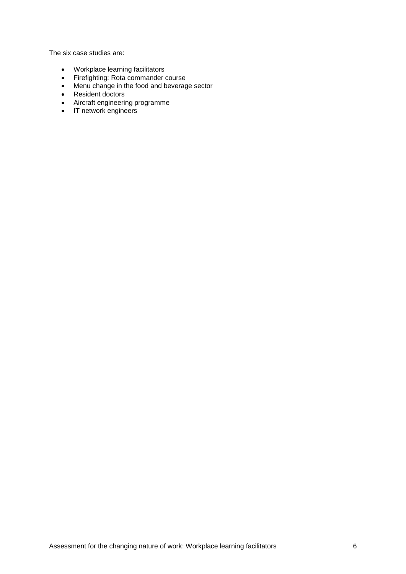The six case studies are:

- Workplace learning facilitators
- Firefighting: Rota commander course
- Menu change in the food and beverage sector
- Resident doctors
- Aircraft engineering programme
- IT network engineers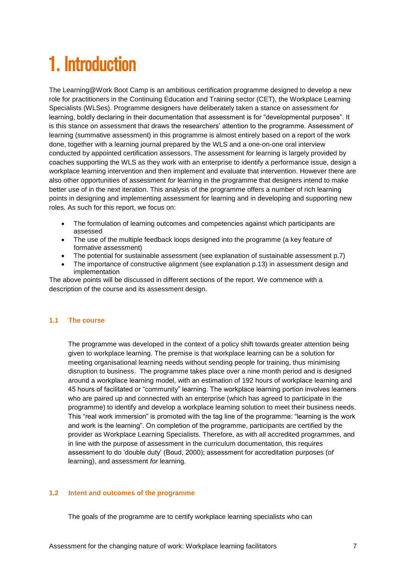## <span id="page-6-0"></span>1. Introduction

The Learning@Work Boot Camp is an ambitious certification programme designed to develop a new role for practitioners in the Continuing Education and Training sector (CET), the Workplace Learning Specialists (WLSes). Programme designers have deliberately taken a stance on assessment *for* learning, boldly declaring in their documentation that assessment is for "developmental purposes". It is this stance on assessment that draws the researchers' attention to the programme. Assessment *of* learning (summative assessment) in this programme is almost entirely based on a report of the work done, together with a learning journal prepared by the WLS and a one-on-one oral interview conducted by appointed certification assessors. The assessment *for* learning is largely provided by coaches supporting the WLS as they work with an enterprise to identify a performance issue, design a workplace learning intervention and then implement and evaluate that intervention. However there are also other opportunities of assessment *for* learning in the programme that designers intend to make better use of in the next iteration. This analysis of the programme offers a number of rich learning points in designing and implementing assessment for learning and in developing and supporting new roles. As such for this report, we focus on:

- The formulation of learning outcomes and competencies against which participants are assessed
- The use of the multiple feedback loops designed into the programme (a key feature of formative assessment)
- The potential for sustainable assessment (see explanation of sustainable assessment p.7)
- The importance of constructive alignment (see explanation p.13) in assessment design and implementation

The above points will be discussed in different sections of the report. We commence with a description of the course and its assessment design.

#### **1.1 The course**

The programme was developed in the context of a policy shift towards greater attention being given to workplace learning. The premise is that workplace learning can be a solution for meeting organisational learning needs without sending people for training, thus minimising disruption to business. The programme takes place over a nine month period and is designed around a workplace learning model, with an estimation of 192 hours of workplace learning and 45 hours of facilitated or "community" learning. The workplace learning portion involves learners who are paired up and connected with an enterprise (which has agreed to participate in the programme) to identify and develop a workplace learning solution to meet their business needs. This "real work immersion" is promoted with the tag line of the programme: "learning is the work and work is the learning". On completion of the programme, participants are certified by the provider as Workplace Learning Specialists. Therefore, as with all accredited programmes, and in line with the purpose of assessment in the curriculum documentation, this requires assessment to do 'double duty' (Boud, 2000); assessment for accreditation purposes (*of* learning), and assessment *for* learning.

#### **1.2 Intent and outcomes of the programme**

The goals of the programme are to certify workplace learning specialists who can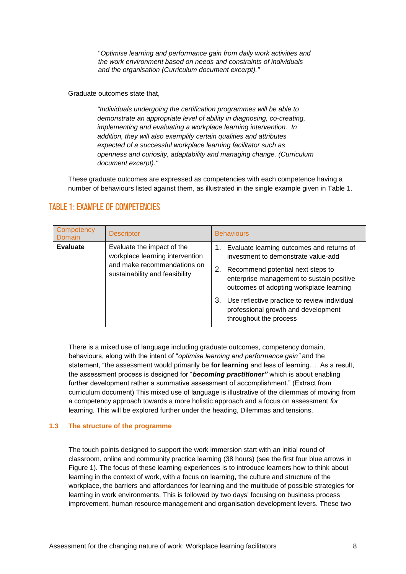"*Optimise learning and performance gain from daily work activities and the work environment based on needs and constraints of individuals and the organisation (Curriculum document excerpt)."*

Graduate outcomes state that,

*"Individuals undergoing the certification programmes will be able to demonstrate an appropriate level of ability in diagnosing, co-creating, implementing and evaluating a workplace learning intervention. In addition, they will also exemplify certain qualities and attributes expected of a successful workplace learning facilitator such as openness and curiosity, adaptability and managing change. (Curriculum document excerpt)."*

These graduate outcomes are expressed as competencies with each competence having a number of behaviours listed against them, as illustrated in the single example given in Table 1.

| Competency<br>Domain | <b>Descriptor</b>                                                                                                              | <b>Behaviours</b>                                                                                                                                                                                                                                                                                                                          |  |
|----------------------|--------------------------------------------------------------------------------------------------------------------------------|--------------------------------------------------------------------------------------------------------------------------------------------------------------------------------------------------------------------------------------------------------------------------------------------------------------------------------------------|--|
| <b>Evaluate</b>      | Evaluate the impact of the<br>workplace learning intervention<br>and make recommendations on<br>sustainability and feasibility | Evaluate learning outcomes and returns of<br>investment to demonstrate value-add<br>2.<br>Recommend potential next steps to<br>enterprise management to sustain positive<br>outcomes of adopting workplace learning<br>Use reflective practice to review individual<br>З.<br>professional growth and development<br>throughout the process |  |

### <span id="page-7-0"></span>TABLE 1: EXAMPLE OF COMPETENCIES

There is a mixed use of language including graduate outcomes, competency domain, behaviours, along with the intent of "*optimise learning and performance gain"* and the statement, "the assessment would primarily be **for learning** and less of learning… As a result, the assessment process is designed for "*becoming practitioner"* which is about enabling further development rather a summative assessment of accomplishment." (Extract from curriculum document) This mixed use of language is illustrative of the dilemmas of moving from a competency approach towards a more holistic approach and a focus on assessment *for*  learning. This will be explored further under the heading, Dilemmas and tensions.

#### **1.3 The structure of the programme**

The touch points designed to support the work immersion start with an initial round of classroom, online and community practice learning (38 hours) (see the first four blue arrows in Figure 1). The focus of these learning experiences is to introduce learners how to think about learning in the context of work, with a focus on learning, the culture and structure of the workplace, the barriers and affordances for learning and the multitude of possible strategies for learning in work environments. This is followed by two days' focusing on business process improvement, human resource management and organisation development levers. These two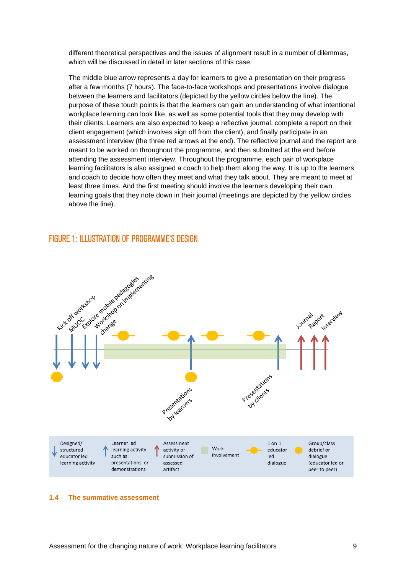different theoretical perspectives and the issues of alignment result in a number of dilemmas, which will be discussed in detail in later sections of this case.

The middle blue arrow represents a day for learners to give a presentation on their progress after a few months (7 hours). The face-to-face workshops and presentations involve dialogue between the learners and facilitators (depicted by the yellow circles below the line). The purpose of these touch points is that the learners can gain an understanding of what intentional workplace learning can look like, as well as some potential tools that they may develop with their clients. Learners are also expected to keep a reflective journal, complete a report on their client engagement (which involves sign off from the client), and finally participate in an assessment interview (the three red arrows at the end). The reflective journal and the report are meant to be worked on throughout the programme, and then submitted at the end before attending the assessment interview. Throughout the programme, each pair of workplace learning facilitators is also assigned a coach to help them along the way. It is up to the learners and coach to decide how often they meet and what they talk about. They are meant to meet at least three times. And the first meeting should involve the learners developing their own learning goals that they note down in their journal (meetings are depicted by the yellow circles above the line).

#### <span id="page-8-0"></span>FIGURE 1: ILLUSTRATION OF PROGRAMME'S DESIGN



#### **1.4 The summative assessment**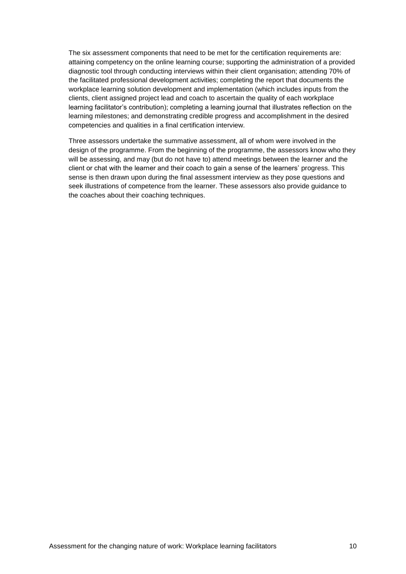The six assessment components that need to be met for the certification requirements are: attaining competency on the online learning course; supporting the administration of a provided diagnostic tool through conducting interviews within their client organisation; attending 70% of the facilitated professional development activities; completing the report that documents the workplace learning solution development and implementation (which includes inputs from the clients, client assigned project lead and coach to ascertain the quality of each workplace learning facilitator's contribution); completing a learning journal that illustrates reflection on the learning milestones; and demonstrating credible progress and accomplishment in the desired competencies and qualities in a final certification interview.

Three assessors undertake the summative assessment, all of whom were involved in the design of the programme. From the beginning of the programme, the assessors know who they will be assessing, and may (but do not have to) attend meetings between the learner and the client or chat with the learner and their coach to gain a sense of the learners' progress. This sense is then drawn upon during the final assessment interview as they pose questions and seek illustrations of competence from the learner. These assessors also provide guidance to the coaches about their coaching techniques.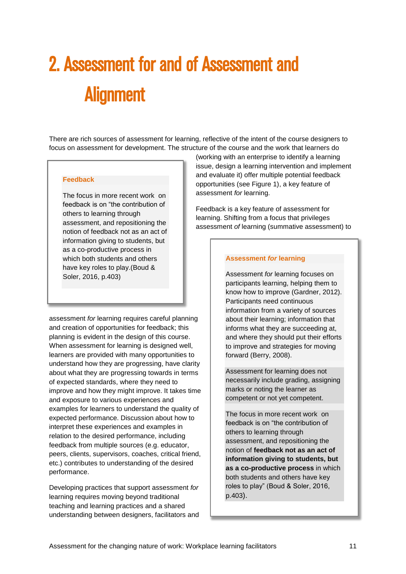# <span id="page-10-0"></span>2. Assessment for and of Assessment and **Alignment**

There are rich sources of assessment for learning, reflective of the intent of the course designers to focus on assessment for development. The structure of the course and the work that learners do

#### **Feedback**

The focus in more recent work on feedback is on "the contribution of others to learning through assessment, and repositioning the notion of feedback not as an act of information giving to students, but as a co-productive process in which both students and others have key roles to play.(Boud & Soler, 2016, p.403)

assessment *for* learning requires careful planning and creation of opportunities for feedback; this planning is evident in the design of this course. When assessment for learning is designed well, learners are provided with many opportunities to understand how they are progressing, have clarity about what they are progressing towards in terms of expected standards, where they need to improve and how they might improve. It takes time and exposure to various experiences and examples for learners to understand the quality of expected performance. Discussion about how to interpret these experiences and examples in relation to the desired performance, including feedback from multiple sources (e.g. educator, peers, clients, supervisors, coaches, critical friend, etc.) contributes to understanding of the desired performance.

Developing practices that support assessment *for* learning requires moving beyond traditional teaching and learning practices and a shared understanding between designers, facilitators and

(working with an enterprise to identify a learning issue, design a learning intervention and implement and evaluate it) offer multiple potential feedback opportunities (see Figure 1), a key feature of assessment *for* learning.

Feedback is a key feature of assessment for learning. Shifting from a focus that privileges assessment *of* learning (summative assessment) to

#### **Assessment** *for* **learning**

Assessment *for* learning focuses on participants learning, helping them to know how to improve (Gardner, 2012). Participants need continuous information from a variety of sources about their learning; information that informs what they are succeeding at, and where they should put their efforts to improve and strategies for moving forward (Berry, 2008).

Assessment for learning does not necessarily include grading, assigning marks or noting the learner as competent or not yet competent.

The focus in more recent work on feedback is on "the contribution of others to learning through assessment, and repositioning the notion of **feedback not as an act of information giving to students, but as a co-productive process** in which both students and others have key roles to play" (Boud & Soler, 2016, p.403).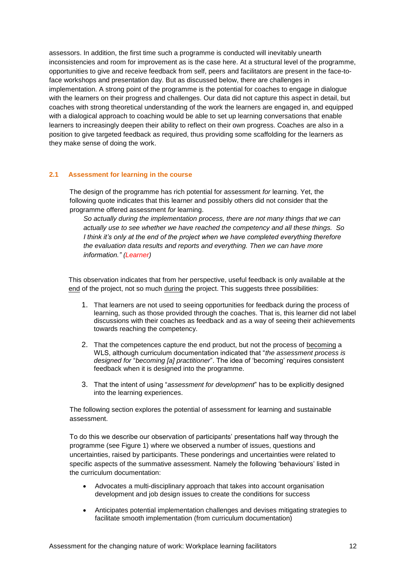assessors. In addition, the first time such a programme is conducted will inevitably unearth inconsistencies and room for improvement as is the case here. At a structural level of the programme, opportunities to give and receive feedback from self, peers and facilitators are present in the face-toface workshops and presentation day. But as discussed below, there are challenges in implementation. A strong point of the programme is the potential for coaches to engage in dialogue with the learners on their progress and challenges. Our data did not capture this aspect in detail, but coaches with strong theoretical understanding of the work the learners are engaged in, and equipped with a dialogical approach to coaching would be able to set up learning conversations that enable learners to increasingly deepen their ability to reflect on their own progress. Coaches are also in a position to give targeted feedback as required, thus providing some scaffolding for the learners as they make sense of doing the work.

#### **2.1 Assessment for learning in the course**

The design of the programme has rich potential for assessment *for* learning. Yet, the following quote indicates that this learner and possibly others did not consider that the programme offered assessment *for* learning.

*So actually during the implementation process, there are not many things that we can actually use to see whether we have reached the competency and all these things. So I think it's only at the end of the project when we have completed everything therefore the evaluation data results and reports and everything. Then we can have more information." (Learner)*

This observation indicates that from her perspective, useful feedback is only available at the end of the project, not so much during the project. This suggests three possibilities:

- 1. That learners are not used to seeing opportunities for feedback during the process of learning, such as those provided through the coaches. That is, this learner did not label discussions with their coaches as feedback and as a way of seeing their achievements towards reaching the competency.
- 2. That the competences capture the end product, but not the process of becoming a WLS, although curriculum documentation indicated that "*the assessment process is designed for* "*becoming [a] practitioner*". The idea of 'becoming' requires consistent feedback when it is designed into the programme.
- 3. That the intent of using "*assessment for development*" has to be explicitly designed into the learning experiences.

The following section explores the potential of assessment for learning and sustainable assessment.

To do this we describe our observation of participants' presentations half way through the programme (see Figure 1) where we observed a number of issues, questions and uncertainties, raised by participants. These ponderings and uncertainties were related to specific aspects of the summative assessment. Namely the following 'behaviours' listed in the curriculum documentation:

- Advocates a multi-disciplinary approach that takes into account organisation development and job design issues to create the conditions for success
- Anticipates potential implementation challenges and devises mitigating strategies to facilitate smooth implementation (from curriculum documentation)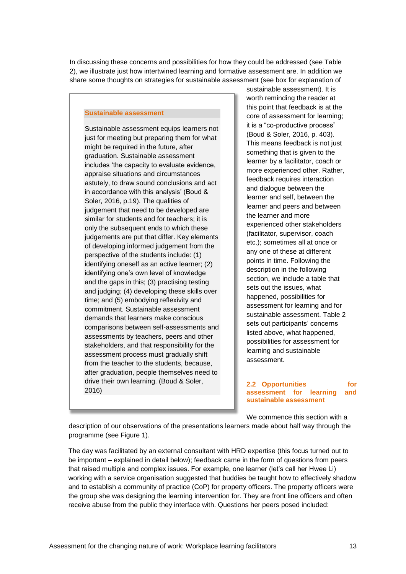In discussing these concerns and possibilities for how they could be addressed (see Table 2), we illustrate just how intertwined learning and formative assessment are. In addition we share some thoughts on strategies for sustainable assessment (see box for explanation of

#### **Sustainable assessment**

Sustainable assessment equips learners not just for meeting but preparing them for what might be required in the future, after graduation. Sustainable assessment includes 'the capacity to evaluate evidence, appraise situations and circumstances astutely, to draw sound conclusions and act in accordance with this analysis' (Boud & Soler, 2016, p.19). The qualities of judgement that need to be developed are similar for students and for teachers; it is only the subsequent ends to which these judgements are put that differ. Key elements of developing informed judgement from the perspective of the students include: (1) identifying oneself as an active learner; (2) identifying one's own level of knowledge and the gaps in this; (3) practising testing and judging; (4) developing these skills over time; and (5) embodying reflexivity and commitment. Sustainable assessment demands that learners make conscious comparisons between self-assessments and assessments by teachers, peers and other stakeholders, and that responsibility for the assessment process must gradually shift from the teacher to the students, because, after graduation, people themselves need to drive their own learning. (Boud & Soler, 2016)

sustainable assessment). It is worth reminding the reader at this point that feedback is at the core of assessment for learning; it is a "co-productive process" (Boud & Soler, 2016, p. 403). This means feedback is not just something that is given to the learner by a facilitator, coach or more experienced other. Rather, feedback requires interaction and dialogue between the learner and self, between the learner and peers and between the learner and more experienced other stakeholders (facilitator, supervisor, coach etc.); sometimes all at once or any one of these at different points in time. Following the description in the following section, we include a table that sets out the issues, what happened, possibilities for assessment for learning and for sustainable assessment. Table 2 sets out participants' concerns listed above, what happened, possibilities for assessment for learning and sustainable assessment.

#### **2.2 Opportunities for assessment for learning and sustainable assessment**

We commence this section with a

description of our observations of the presentations learners made about half way through the programme (see Figure 1).

The day was facilitated by an external consultant with HRD expertise (this focus turned out to be important – explained in detail below); feedback came in the form of questions from peers that raised multiple and complex issues. For example, one learner (let's call her Hwee Li) working with a service organisation suggested that buddies be taught how to effectively shadow and to establish a community of practice (CoP) for property officers. The property officers were the group she was designing the learning intervention for. They are front line officers and often receive abuse from the public they interface with. Questions her peers posed included: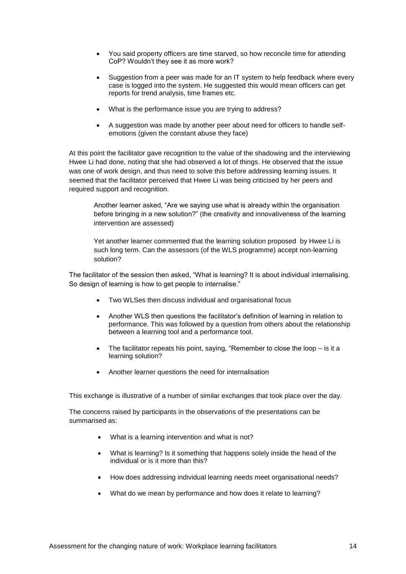- You said property officers are time starved, so how reconcile time for attending CoP? Wouldn't they see it as more work?
- Suggestion from a peer was made for an IT system to help feedback where every case is logged into the system. He suggested this would mean officers can get reports for trend analysis, time frames etc.
- What is the performance issue you are trying to address?
- A suggestion was made by another peer about need for officers to handle selfemotions (given the constant abuse they face)

At this point the facilitator gave recognition to the value of the shadowing and the interviewing Hwee Li had done, noting that she had observed a lot of things. He observed that the issue was one of work design, and thus need to solve this before addressing learning issues. It seemed that the facilitator perceived that Hwee Li was being criticised by her peers and required support and recognition.

Another learner asked, "Are we saying use what is already within the organisation before bringing in a new solution?" (the creativity and innovativeness of the learning intervention are assessed)

Yet another learner commented that the learning solution proposed by Hwee Li is such long term. Can the assessors (of the WLS programme) accept non-learning solution?

The facilitator of the session then asked, "What is learning? It is about individual internalising. So design of learning is how to get people to internalise."

- Two WLSes then discuss individual and organisational focus
- Another WLS then questions the facilitator's definition of learning in relation to performance. This was followed by a question from others about the relationship between a learning tool and a performance tool.
- The facilitator repeats his point, saying, "Remember to close the loop is it a learning solution?
- Another learner questions the need for internalisation

This exchange is illustrative of a number of similar exchanges that took place over the day.

The concerns raised by participants in the observations of the presentations can be summarised as:

- What is a learning intervention and what is not?
- What is learning? Is it something that happens solely inside the head of the individual or is it more than this?
- How does addressing individual learning needs meet organisational needs?
- What do we mean by performance and how does it relate to learning?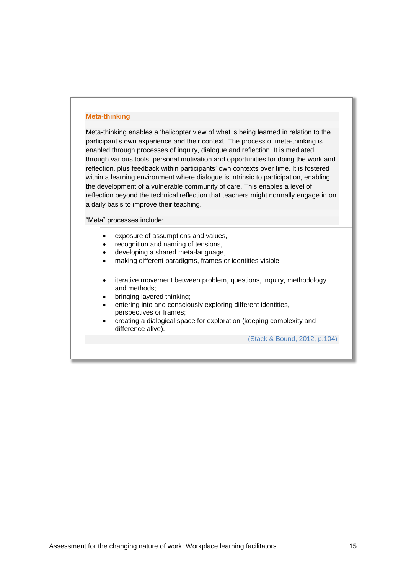#### **Meta-thinking**

Meta-thinking enables a 'helicopter view of what is being learned in relation to the participant's own experience and their context. The process of meta-thinking is enabled through processes of inquiry, dialogue and reflection. It is mediated through various tools, personal motivation and opportunities for doing the work and reflection, plus feedback within participants' own contexts over time. It is fostered within a learning environment where dialogue is intrinsic to participation, enabling the development of a vulnerable community of care. This enables a level of reflection beyond the technical reflection that teachers might normally engage in on a daily basis to improve their teaching.

"Meta" processes include:

- exposure of assumptions and values,
- recognition and naming of tensions,
- developing a shared meta-language,
- making different paradigms, frames or identities visible
- iterative movement between problem, questions, inquiry, methodology and methods;
- bringing layered thinking;
- entering into and consciously exploring different identities, perspectives or frames;
- creating a dialogical space for exploration (keeping complexity and difference alive).

(Stack & Bound, 2012, p.104)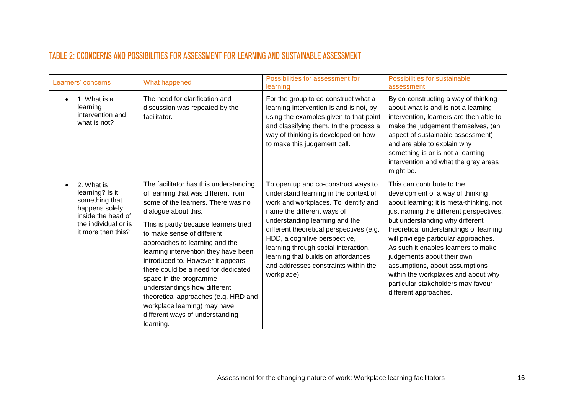### TABLE 2: CCONCERNS AND POSSIBILITIES FOR ASSESSMENT FOR LEARNING AND SUSTAINABLE ASSESSMENT

<span id="page-15-0"></span>

| Learners' concerns                                                                                                                    | What happened                                                                                                                                                                                                                                                                                                                                                                                                                                                                                                                                              | Possibilities for assessment for<br>learning                                                                                                                                                                                                                                                                                                                                                           | Possibilities for sustainable<br>assessment                                                                                                                                                                                                                                                                                                                                                                                                                                              |
|---------------------------------------------------------------------------------------------------------------------------------------|------------------------------------------------------------------------------------------------------------------------------------------------------------------------------------------------------------------------------------------------------------------------------------------------------------------------------------------------------------------------------------------------------------------------------------------------------------------------------------------------------------------------------------------------------------|--------------------------------------------------------------------------------------------------------------------------------------------------------------------------------------------------------------------------------------------------------------------------------------------------------------------------------------------------------------------------------------------------------|------------------------------------------------------------------------------------------------------------------------------------------------------------------------------------------------------------------------------------------------------------------------------------------------------------------------------------------------------------------------------------------------------------------------------------------------------------------------------------------|
| 1. What is a<br>learning<br>intervention and<br>what is not?                                                                          | The need for clarification and<br>discussion was repeated by the<br>facilitator.                                                                                                                                                                                                                                                                                                                                                                                                                                                                           | For the group to co-construct what a<br>learning intervention is and is not, by<br>using the examples given to that point<br>and classifying them. In the process a<br>way of thinking is developed on how<br>to make this judgement call.                                                                                                                                                             | By co-constructing a way of thinking<br>about what is and is not a learning<br>intervention, learners are then able to<br>make the judgement themselves, (an<br>aspect of sustainable assessment)<br>and are able to explain why<br>something is or is not a learning<br>intervention and what the grey areas<br>might be.                                                                                                                                                               |
| 2. What is<br>learning? Is it<br>something that<br>happens solely<br>inside the head of<br>the individual or is<br>it more than this? | The facilitator has this understanding<br>of learning that was different from<br>some of the learners. There was no<br>dialogue about this.<br>This is partly because learners tried<br>to make sense of different<br>approaches to learning and the<br>learning intervention they have been<br>introduced to. However it appears<br>there could be a need for dedicated<br>space in the programme<br>understandings how different<br>theoretical approaches (e.g. HRD and<br>workplace learning) may have<br>different ways of understanding<br>learning. | To open up and co-construct ways to<br>understand learning in the context of<br>work and workplaces. To identify and<br>name the different ways of<br>understanding learning and the<br>different theoretical perspectives (e.g.<br>HDD, a cognitive perspective,<br>learning through social interaction,<br>learning that builds on affordances<br>and addresses constraints within the<br>workplace) | This can contribute to the<br>development of a way of thinking<br>about learning; it is meta-thinking, not<br>just naming the different perspectives,<br>but understanding why different<br>theoretical understandings of learning<br>will privilege particular approaches.<br>As such it enables learners to make<br>judgements about their own<br>assumptions, about assumptions<br>within the workplaces and about why<br>particular stakeholders may favour<br>different approaches. |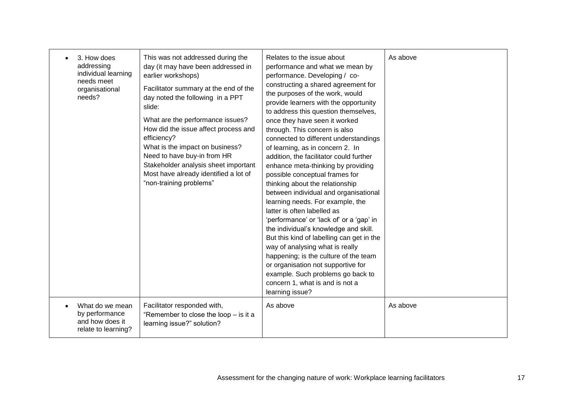| 3. How does<br>addressing<br>individual learning<br>needs meet<br>organisational<br>needs? | This was not addressed during the<br>day (it may have been addressed in<br>earlier workshops)<br>Facilitator summary at the end of the<br>day noted the following in a PPT<br>slide:<br>What are the performance issues?<br>How did the issue affect process and<br>efficiency?<br>What is the impact on business?<br>Need to have buy-in from HR<br>Stakeholder analysis sheet important<br>Most have already identified a lot of<br>"non-training problems" | Relates to the issue about<br>performance and what we mean by<br>performance. Developing / co-<br>constructing a shared agreement for<br>the purposes of the work, would<br>provide learners with the opportunity<br>to address this question themselves,<br>once they have seen it worked<br>through. This concern is also<br>connected to different understandings<br>of learning, as in concern 2. In<br>addition, the facilitator could further<br>enhance meta-thinking by providing<br>possible conceptual frames for<br>thinking about the relationship<br>between individual and organisational<br>learning needs. For example, the<br>latter is often labelled as<br>'performance' or 'lack of' or a 'gap' in<br>the individual's knowledge and skill.<br>But this kind of labelling can get in the<br>way of analysing what is really<br>happening; is the culture of the team<br>or organisation not supportive for<br>example. Such problems go back to<br>concern 1, what is and is not a<br>learning issue? | As above |
|--------------------------------------------------------------------------------------------|---------------------------------------------------------------------------------------------------------------------------------------------------------------------------------------------------------------------------------------------------------------------------------------------------------------------------------------------------------------------------------------------------------------------------------------------------------------|---------------------------------------------------------------------------------------------------------------------------------------------------------------------------------------------------------------------------------------------------------------------------------------------------------------------------------------------------------------------------------------------------------------------------------------------------------------------------------------------------------------------------------------------------------------------------------------------------------------------------------------------------------------------------------------------------------------------------------------------------------------------------------------------------------------------------------------------------------------------------------------------------------------------------------------------------------------------------------------------------------------------------|----------|
| What do we mean<br>by performance<br>and how does it<br>relate to learning?                | Facilitator responded with,<br>"Remember to close the loop - is it a<br>learning issue?" solution?                                                                                                                                                                                                                                                                                                                                                            | As above                                                                                                                                                                                                                                                                                                                                                                                                                                                                                                                                                                                                                                                                                                                                                                                                                                                                                                                                                                                                                  | As above |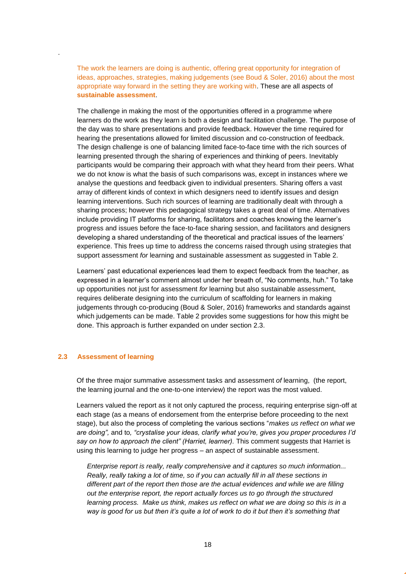The work the learners are doing is authentic, offering great opportunity for integration of ideas, approaches, strategies, making judgements (see Boud & Soler, 2016) about the most appropriate way forward in the setting they are working with. These are all aspects of **sustainable assessment**.

The challenge in making the most of the opportunities offered in a programme where learners do the work as they learn is both a design and facilitation challenge. The purpose of the day was to share presentations and provide feedback. However the time required for hearing the presentations allowed for limited discussion and co-construction of feedback. The design challenge is one of balancing limited face-to-face time with the rich sources of learning presented through the sharing of experiences and thinking of peers. Inevitably participants would be comparing their approach with what they heard from their peers. What we do not know is what the basis of such comparisons was, except in instances where we analyse the questions and feedback given to individual presenters. Sharing offers a vast array of different kinds of context in which designers need to identify issues and design learning interventions. Such rich sources of learning are traditionally dealt with through a sharing process; however this pedagogical strategy takes a great deal of time. Alternatives include providing IT platforms for sharing, facilitators and coaches knowing the learner's progress and issues before the face-to-face sharing session, and facilitators and designers developing a shared understanding of the theoretical and practical issues of the learners' experience. This frees up time to address the concerns raised through using strategies that support assessment *for* learning and sustainable assessment as suggested in Table 2.

Learners' past educational experiences lead them to expect feedback from the teacher, as expressed in a learner's comment almost under her breath of, "No comments, huh." To take up opportunities not just for assessment *for* learning but also sustainable assessment, requires deliberate designing into the curriculum of scaffolding for learners in making judgements through co-producing (Boud & Soler, 2016) frameworks and standards against which judgements can be made. Table 2 provides some suggestions for how this might be done. This approach is further expanded on under section 2.3.

#### **2.3 Assessment of learning**

.

Of the three major summative assessment tasks and assessment *of* learning, (the report, the learning journal and the one-to-one interview) the report was the most valued.

Learners valued the report as it not only captured the process, requiring enterprise sign-off at each stage (as a means of endorsement from the enterprise before proceeding to the next stage), but also the process of completing the various sections "*makes us reflect on what we are doing",* and to*, "crystalise your ideas, clarify what you're, gives you proper procedures I'd*  say on how to approach the client" (Harriet, learner). This comment suggests that Harriet is using this learning to judge her progress – an aspect of sustainable assessment.

*Enterprise report is really, really comprehensive and it captures so much information... Really, really taking a lot of time, so if you can actually fill in all these sections in different part of the report then those are the actual evidences and while we are filling out the enterprise report, the report actually forces us to go through the structured learning process. Make us think, makes us reflect on what we are doing so this is in a way is good for us but then it's quite a lot of work to do it but then it's something that*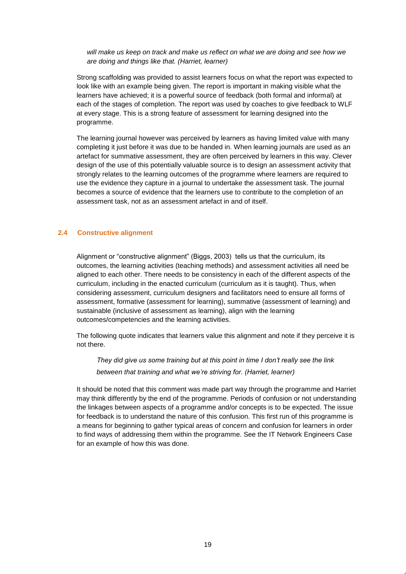*will make us keep on track and make us reflect on what we are doing and see how we are doing and things like that. (Harriet, learner)*

Strong scaffolding was provided to assist learners focus on what the report was expected to look like with an example being given. The report is important in making visible what the learners have achieved; it is a powerful source of feedback (both formal and informal) at each of the stages of completion. The report was used by coaches to give feedback to WLF at every stage. This is a strong feature of assessment for learning designed into the programme.

The learning journal however was perceived by learners as having limited value with many completing it just before it was due to be handed in. When learning journals are used as an artefact for summative assessment, they are often perceived by learners in this way. Clever design of the use of this potentially valuable source is to design an assessment activity that strongly relates to the learning outcomes of the programme where learners are required to use the evidence they capture in a journal to undertake the assessment task. The journal becomes a source of evidence that the learners use to contribute to the completion of an assessment task, not as an assessment artefact in and of itself.

#### **2.4 Constructive alignment**

Alignment or "constructive alignment" (Biggs, 2003) tells us that the curriculum, its outcomes, the learning activities (teaching methods) and assessment activities all need be aligned to each other. There needs to be consistency in each of the different aspects of the curriculum, including in the enacted curriculum (curriculum as it is taught). Thus, when considering assessment, curriculum designers and facilitators need to ensure all forms of assessment, formative (assessment for learning), summative (assessment of learning) and sustainable (inclusive of assessment as learning), align with the learning outcomes/competencies and the learning activities.

The following quote indicates that learners value this alignment and note if they perceive it is not there.

*They did give us some training but at this point in time I don't really see the link between that training and what we're striving for. (Harriet, learner)*

It should be noted that this comment was made part way through the programme and Harriet may think differently by the end of the programme. Periods of confusion or not understanding the linkages between aspects of a programme and/or concepts is to be expected. The issue for feedback is to understand the nature of this confusion. This first run of this programme is a means for beginning to gather typical areas of concern and confusion for learners in order to find ways of addressing them within the programme. See the IT Network Engineers Case for an example of how this was done.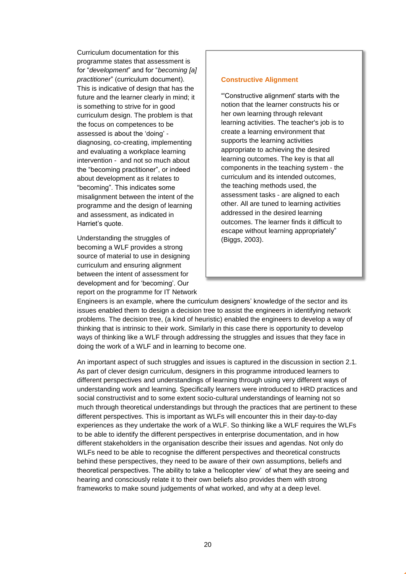Curriculum documentation for this programme states that assessment is for "*development*" and for "*becoming [a] practitioner*" (curriculum document). This is indicative of design that has the future and the learner clearly in mind; it is something to strive for in good curriculum design. The problem is that the focus on competences to be assessed is about the 'doing' diagnosing, co-creating, implementing and evaluating a workplace learning intervention *-* and not so much about the "becoming practitioner", or indeed about development as it relates to "becoming". This indicates some misalignment between the intent of the programme and the design of learning and assessment, as indicated in Harriet's quote.

Understanding the struggles of becoming a WLF provides a strong source of material to use in designing curriculum and ensuring alignment between the intent of assessment for development and for 'becoming'. Our report on the programme for IT Network

#### **Constructive Alignment**

"'Constructive alignment' starts with the notion that the learner constructs his or her own learning through relevant learning activities. The teacher's job is to create a learning environment that supports the learning activities appropriate to achieving the desired learning outcomes. The key is that all components in the teaching system - the curriculum and its intended outcomes, the teaching methods used, the assessment tasks - are aligned to each other. All are tuned to learning activities addressed in the desired learning outcomes. The learner finds it difficult to escape without learning appropriately" (Biggs, 2003).

Engineers is an example, where the curriculum designers' knowledge of the sector and its issues enabled them to design a decision tree to assist the engineers in identifying network problems. The decision tree, (a kind of heuristic) enabled the engineers to develop a way of thinking that is intrinsic to their work. Similarly in this case there is opportunity to develop ways of thinking like a WLF through addressing the struggles and issues that they face in doing the work of a WLF and in learning to become one.

An important aspect of such struggles and issues is captured in the discussion in section 2.1. As part of clever design curriculum, designers in this programme introduced learners to different perspectives and understandings of learning through using very different ways of understanding work and learning. Specifically learners were introduced to HRD practices and social constructivist and to some extent socio-cultural understandings of learning not so much through theoretical understandings but through the practices that are pertinent to these different perspectives. This is important as WLFs will encounter this in their day-to-day experiences as they undertake the work of a WLF. So thinking like a WLF requires the WLFs to be able to identify the different perspectives in enterprise documentation, and in how different stakeholders in the organisation describe their issues and agendas. Not only do WLFs need to be able to recognise the different perspectives and theoretical constructs behind these perspectives, they need to be aware of their own assumptions, beliefs and theoretical perspectives. The ability to take a 'helicopter view' of what they are seeing and hearing and consciously relate it to their own beliefs also provides them with strong frameworks to make sound judgements of what worked, and why at a deep level.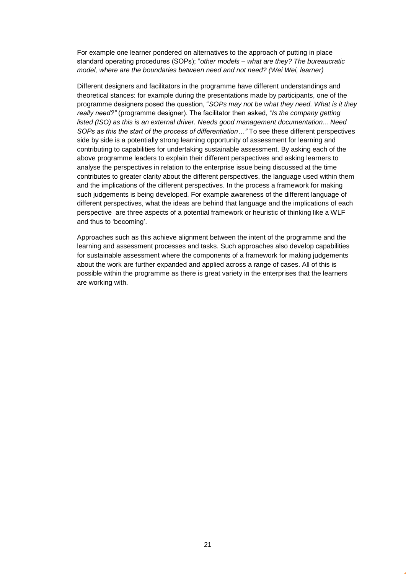For example one learner pondered on alternatives to the approach of putting in place standard operating procedures (SOPs); "*other models – what are they? The bureaucratic model, where are the boundaries between need and not need? (Wei Wei, learner)*

Different designers and facilitators in the programme have different understandings and theoretical stances: for example during the presentations made by participants, one of the programme designers posed the question, "*SOPs may not be what they need. What is it they really need?"* (programme designer). The facilitator then asked, "*Is the company getting listed (ISO) as this is an external driver. Needs good management documentation... Need SOPs as this the start of the process of differentiation…"* To see these different perspectives side by side is a potentially strong learning opportunity of assessment for learning and contributing to capabilities for undertaking sustainable assessment. By asking each of the above programme leaders to explain their different perspectives and asking learners to analyse the perspectives in relation to the enterprise issue being discussed at the time contributes to greater clarity about the different perspectives, the language used within them and the implications of the different perspectives. In the process a framework for making such judgements is being developed. For example awareness of the different language of different perspectives, what the ideas are behind that language and the implications of each perspective are three aspects of a potential framework or heuristic of thinking like a WLF and thus to 'becoming'.

Approaches such as this achieve alignment between the intent of the programme and the learning and assessment processes and tasks. Such approaches also develop capabilities for sustainable assessment where the components of a framework for making judgements about the work are further expanded and applied across a range of cases. All of this is possible within the programme as there is great variety in the enterprises that the learners are working with.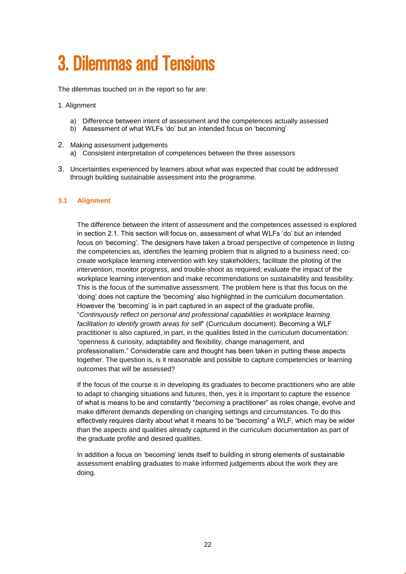### <span id="page-21-0"></span>3. Dilemmas and Tensions

The dilemmas touched on in the report so far are:

- 1. Alignment
	- a) Difference between intent of assessment and the competences actually assessed
	- b) Assessment of what WLFs 'do' but an intended focus on 'becoming'
- 2. Making assessment judgements a) Consistent interpretation of competences between the three assessors
- 3. Uncertainties experienced by learners about what was expected that could be addressed through building sustainable assessment into the programme.

#### **3.1 Alignment**

The difference between the intent of assessment and the competences assessed is explored in section 2.1. This section will focus on, assessment of what WLFs 'do' but an intended focus on 'becoming'. The designers have taken a broad perspective of competence in listing the competencies as, identifies the learning problem that is aligned to a business need; cocreate workplace learning intervention with key stakeholders; facilitate the piloting of the intervention, monitor progress, and trouble-shoot as required; evaluate the impact of the workplace learning intervention and make recommendations on sustainability and feasibility. This is the focus of the summative assessment. The problem here is that this focus on the 'doing' does not capture the 'becoming' also highlighted in the curriculum documentation. However the 'becoming' is in part captured in an aspect of the graduate profile, "*Continuously reflect on personal and professional capabilities in workplace learning facilitation to identify growth areas for self*" (Curriculum document). Becoming a WLF practitioner is also captured, in part, in the qualities listed in the curriculum documentation: "openness & curiosity, adaptability and flexibility, change management, and professionalism." Considerable care and thought has been taken in putting these aspects together. The question is, is it reasonable and possible to capture competencies or learning outcomes that will be assessed?

If the focus of the course is in developing its graduates to become practitioners who are able to adapt to changing situations and futures, then, yes it is important to capture the essence of what is means to be and constantly "*becoming* a practitioner" as roles change, evolve and make different demands depending on changing settings and circumstances. To do this effectively requires clarity about what it means to be "becoming" a WLF, which may be wider than the aspects and qualities already captured in the curriculum documentation as part of the graduate profile and desired qualities.

In addition a focus on 'becoming' lends itself to building in strong elements of sustainable assessment enabling graduates to make informed judgements about the work they are doing.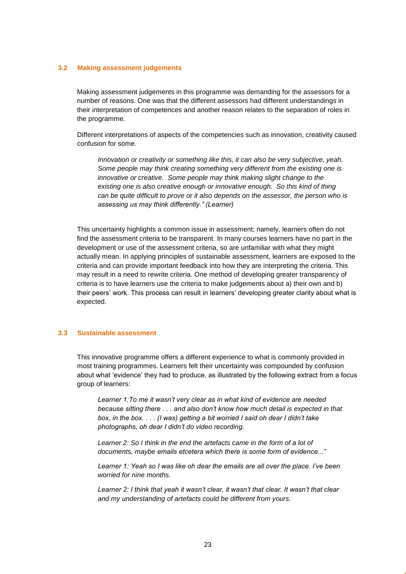#### **3.2 Making assessment judgements**

Making assessment judgements in this programme was demanding for the assessors for a number of reasons. One was that the different assessors had different understandings in their interpretation of competences and another reason relates to the separation of roles in the programme.

Different interpretations of aspects of the competencies such as innovation, creativity caused confusion for some.

*Innovation or creativity or something like this, it can also be very subjective, yeah. Some people may think creating something very different from the existing one is innovative or creative. Some people may think making slight change to the existing one is also creative enough or innovative enough. So this kind of thing can be quite difficult to prove or it also depends on the assessor, the person who is assessing us may think differently." (Learner)*

This uncertainty highlights a common issue in assessment; namely, learners often do not find the assessment criteria to be transparent. In many courses learners have no part in the development or use of the assessment criteria, so are unfamiliar with what they might actually mean. In applying principles of sustainable assessment, learners are exposed to the criteria and can provide important feedback into how they are interpreting the criteria. This may result in a need to rewrite criteria. One method of developing greater transparency of criteria is to have learners use the criteria to make judgements about a) their own and b) their peers' work. This process can result in learners' developing greater clarity about what is expected.

#### **3.3 Sustainable assessment**

This innovative programme offers a different experience to what is commonly provided in most training programmes. Learners felt their uncertainty was compounded by confusion about what 'evidence' they had to produce, as illustrated by the following extract from a focus group of learners:

*Learner 1:To me it wasn't very clear as in what kind of evidence are needed because sitting there . . . and also don't know how much detail is expected in that box, in the box. . . . (I was) getting a bit worried I said oh dear I didn't take photographs, oh dear I didn't do video recording.*

*Learner 2: So I think in the end the artefacts came in the form of a lot of documents, maybe emails etcetera which there is some form of evidence..."*

*Learner 1: Yeah so I was like oh dear the emails are all over the place. I've been worried for nine months.*

*Learner 2: I think that yeah it wasn't clear, it wasn't that clear. It wasn't that clear and my understanding of artefacts could be different from yours.*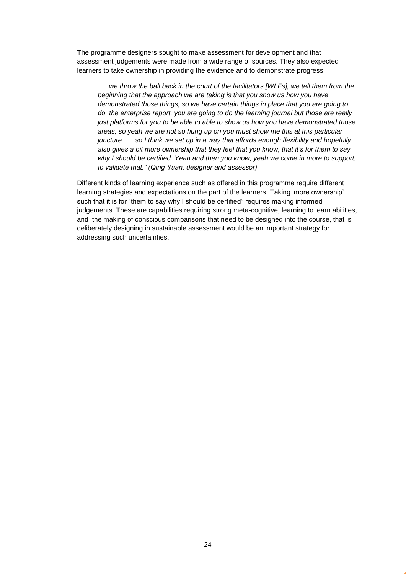The programme designers sought to make assessment for development and that assessment judgements were made from a wide range of sources. They also expected learners to take ownership in providing the evidence and to demonstrate progress.

*. . . we throw the ball back in the court of the facilitators [WLFs], we tell them from the beginning that the approach we are taking is that you show us how you have demonstrated those things, so we have certain things in place that you are going to do, the enterprise report, you are going to do the learning journal but those are really just platforms for you to be able to able to show us how you have demonstrated those areas, so yeah we are not so hung up on you must show me this at this particular juncture . . . so I think we set up in a way that affords enough flexibility and hopefully also gives a bit more ownership that they feel that you know, that it's for them to say why I should be certified. Yeah and then you know, yeah we come in more to support, to validate that." (Qing Yuan, designer and assessor)*

Different kinds of learning experience such as offered in this programme require different learning strategies and expectations on the part of the learners. Taking 'more ownership' such that it is for "them to say why I should be certified" requires making informed judgements. These are capabilities requiring strong meta-cognitive, learning to learn abilities, and the making of conscious comparisons that need to be designed into the course, that is deliberately designing in sustainable assessment would be an important strategy for addressing such uncertainties.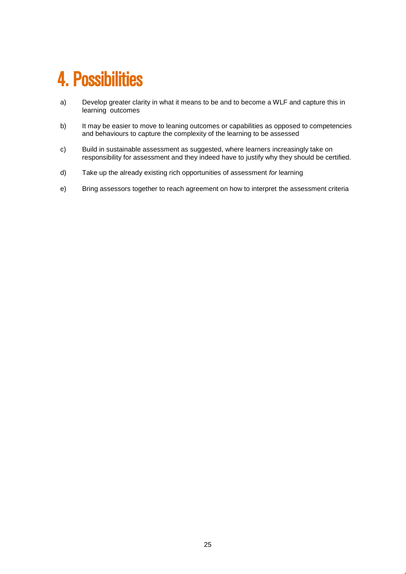### <span id="page-24-0"></span>4. Possibilities

- a) Develop greater clarity in what it means to be and to become a WLF and capture this in learning outcomes
- b) It may be easier to move to leaning outcomes or capabilities as opposed to competencies and behaviours to capture the complexity of the learning to be assessed
- c) Build in sustainable assessment as suggested, where learners increasingly take on responsibility for assessment and they indeed have to justify why they should be certified.
- d) Take up the already existing rich opportunities of assessment *for* learning
- e) Bring assessors together to reach agreement on how to interpret the assessment criteria